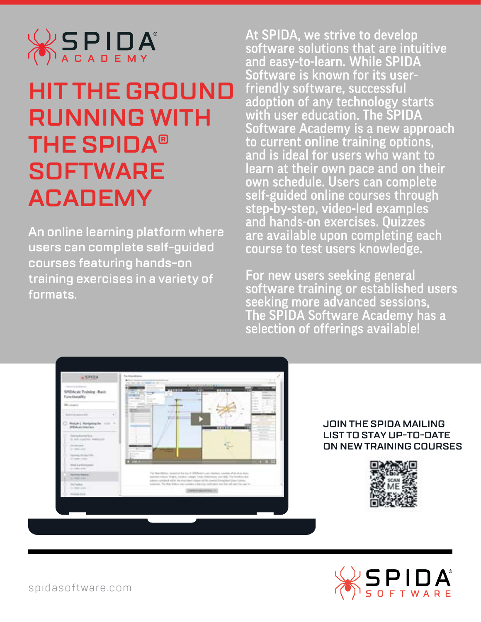

# **HIT THE GROUND RUNNING WITH THE SPIDA<sup>®</sup> SOFTWARE ACADEMY**

An online learning platform where users can complete self-guided courses featuring hands-on training exercises in a variety of **.formats**

At SPIDA, we strive to develop software solutions that are intuitive and easy-to-learn. While SPIDA Software is known for its userfriendly software, successful adoption of any technology starts with user education. The SPIDA Software Academy is a new approach to current online training options, and is ideal for users who want to learn at their own pace and on their own schedule. Users can complete self-guided online courses through step-by-step, video-led examples and hands-on exercises. Quizzes are available upon completing each course to test users knowledge.

For new users seeking general software training or established users seeking more advanced sessions, The SPIDA Software Academy has a selection of offerings available!



#### **JOIN THE SPIDA MAILING LIST TO STAY UP-TO-DATE ON NEW TRAINING COURSES**